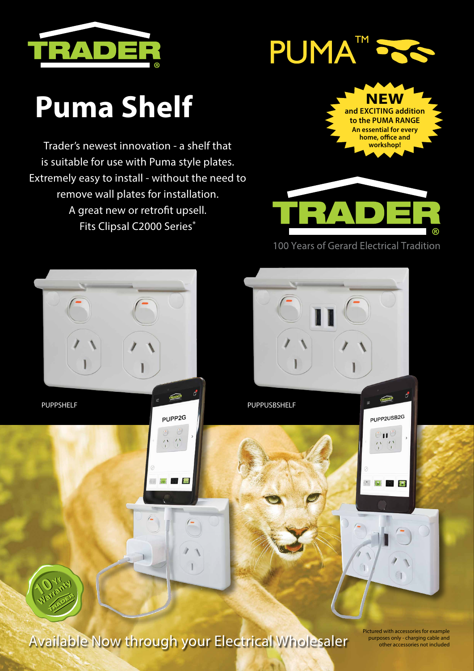



## **Puma Shelf NEW**

Trader's newest innovation - a shelf that is suitable for use with Puma style plates. Extremely easy to install - without the need to remove wall plates for installation. A great new or retrofit upsell. Fits Clipsal C2000 Series\*





Available Now through your Electrical Wholesaler

Pictured with accessories for example purposes only - charging cable and other accessories not included